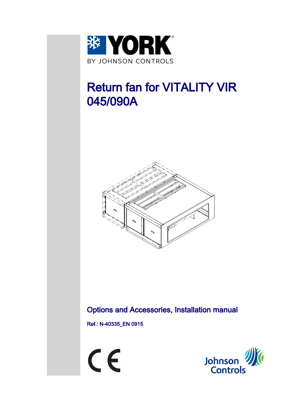

# Return fan for VITALITY VIR 045/090A



## Options and Accessories, Installation manual

Ref.: N-40335\_EN 0915



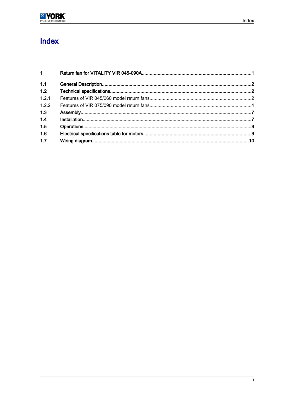

# Index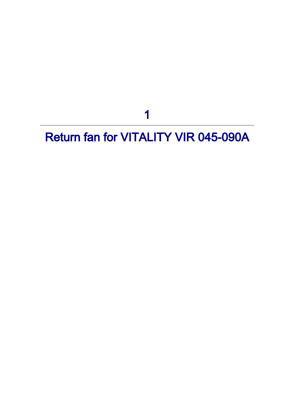1

# <span id="page-2-0"></span>Return fan for VITALITY VIR 045-090A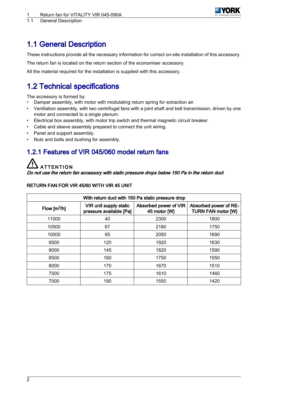

<span id="page-3-0"></span>1.1 General Description

## 1.1 General Description

These instructions provide all the necessary information for correct on-site installation of this accessory.

The return fan is located on the return section of the economiser accessory.

All the material required for the installation is supplied with this accessory.

## 1.2 Technical specifications

The accessory is formed by:

- Damper assembly, with motor with modulating return spring for extraction air.
- Ventilation assembly, with two centrifugal fans with a joint shaft and belt transmission, driven by one motor and connected to a single plenum.
- Electrical box assembly, with motor trip switch and thermal magnetic circuit breaker.
- Cable and sleeve assembly prepared to connect the unit wiring.
- Panel and support assembly.
- Nuts and bolts and bushing for assembly.

### 1.2.1 Features of VIR 045/060 model return fans

# **ATTENTION**

Do not use the return fan accessory with static pressure drops below 150 Pa in the return duct

| <b>RETURN FAN FOR VIR 45/60 WITH VIR 45 UNIT</b> |  |  |  |  |  |
|--------------------------------------------------|--|--|--|--|--|
|--------------------------------------------------|--|--|--|--|--|

| With return duct with 150 Pa static pressure drop |                                                   |                                       |                                                    |
|---------------------------------------------------|---------------------------------------------------|---------------------------------------|----------------------------------------------------|
| Flow $[m^3/h]$                                    | VIR unit supply static<br>pressure available [Pa] | Absorbed power of VIR<br>45 motor [W] | Absorbed power of RE-<br><b>TURN FAN motor [W]</b> |
| 11000                                             | 40                                                | 2300                                  | 1800                                               |
| 10500                                             | 67                                                | 2180                                  | 1750                                               |
| 10000                                             | 95                                                | 2050                                  | 1690                                               |
| 9500                                              | 120                                               | 1920                                  | 1630                                               |
| 9000                                              | 145                                               | 1820                                  | 1590                                               |
| 8500                                              | 160                                               | 1750                                  | 1550                                               |
| 8000                                              | 170                                               | 1670                                  | 1510                                               |
| 7500                                              | 175                                               | 1610                                  | 1460                                               |
| 7000                                              | 190                                               | 1550                                  | 1420                                               |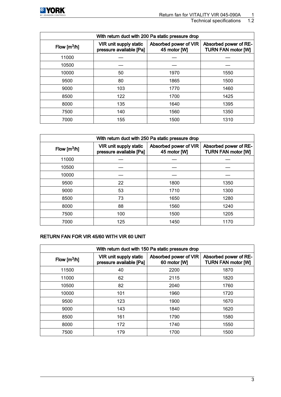

Technical specifications

| With return duct with 200 Pa static pressure drop |                                                   |                                       |                                                    |
|---------------------------------------------------|---------------------------------------------------|---------------------------------------|----------------------------------------------------|
| Flow $[m^3/h]$                                    | VIR unit supply static<br>pressure available [Pa] | Absorbed power of VIR<br>45 motor [W] | Absorbed power of RE-<br><b>TURN FAN motor [W]</b> |
| 11000                                             |                                                   |                                       |                                                    |
| 10500                                             |                                                   |                                       |                                                    |
| 10000                                             | 50                                                | 1970                                  | 1550                                               |
| 9500                                              | 80                                                | 1865                                  | 1500                                               |
| 9000                                              | 103                                               | 1770                                  | 1460                                               |
| 8500                                              | 122                                               | 1700                                  | 1425                                               |
| 8000                                              | 135                                               | 1640                                  | 1395                                               |
| 7500                                              | 140                                               | 1560                                  | 1350                                               |
| 7000                                              | 155                                               | 1500                                  | 1310                                               |

| With return duct with 250 Pa static pressure drop |                                                   |                                       |                                                    |
|---------------------------------------------------|---------------------------------------------------|---------------------------------------|----------------------------------------------------|
| Flow $[m^3/h]$                                    | VIR unit supply static<br>pressure available [Pa] | Absorbed power of VIR<br>45 motor [W] | Absorbed power of RE-<br><b>TURN FAN motor [W]</b> |
| 11000                                             |                                                   |                                       |                                                    |
| 10500                                             |                                                   |                                       |                                                    |
| 10000                                             |                                                   |                                       |                                                    |
| 9500                                              | 22                                                | 1800                                  | 1350                                               |
| 9000                                              | 53                                                | 1710                                  | 1300                                               |
| 8500                                              | 73                                                | 1650                                  | 1280                                               |
| 8000                                              | 88                                                | 1560                                  | 1240                                               |
| 7500                                              | 100                                               | 1500                                  | 1205                                               |
| 7000                                              | 125                                               | 1450                                  | 1170                                               |

#### RETURN FAN FOR VIR 45/60 WITH VIR 60 UNIT

| With return duct with 150 Pa static pressure drop |                                                   |                                       |                                                    |
|---------------------------------------------------|---------------------------------------------------|---------------------------------------|----------------------------------------------------|
| Flow $[m^3/h]$                                    | VIR unit supply static<br>pressure available [Pa] | Absorbed power of VIR<br>60 motor [W] | Absorbed power of RE-<br><b>TURN FAN motor [W]</b> |
| 11500                                             | 40                                                | 2200                                  | 1870                                               |
| 11000                                             | 62                                                | 2115                                  | 1820                                               |
| 10500                                             | 82                                                | 2040                                  | 1760                                               |
| 10000                                             | 101                                               | 1960                                  | 1720                                               |
| 9500                                              | 123                                               | 1900                                  | 1670                                               |
| 9000                                              | 143                                               | 1840                                  | 1620                                               |
| 8500                                              | 161                                               | 1790                                  | 1580                                               |
| 8000                                              | 172                                               | 1740                                  | 1550                                               |
| 7500                                              | 179                                               | 1700                                  | 1500                                               |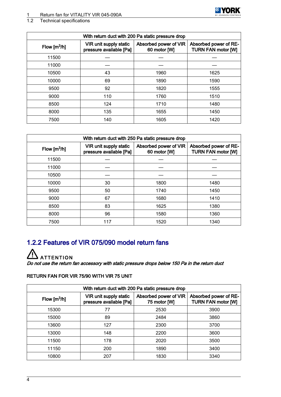# <span id="page-5-0"></span>1 Return fan for VITALITY VIR 045-090A<br>1.2 Technical specifications

#### Technical specifications

| With return duct with 200 Pa static pressure drop |                                                   |                                       |                                                    |
|---------------------------------------------------|---------------------------------------------------|---------------------------------------|----------------------------------------------------|
| Flow $[m^3/h]$                                    | VIR unit supply static<br>pressure available [Pa] | Absorbed power of VIR<br>60 motor [W] | Absorbed power of RE-<br><b>TURN FAN motor [W]</b> |
| 11500                                             |                                                   |                                       |                                                    |
| 11000                                             |                                                   |                                       |                                                    |
| 10500                                             | 43                                                | 1960                                  | 1625                                               |
| 10000                                             | 69                                                | 1890                                  | 1590                                               |
| 9500                                              | 92                                                | 1820                                  | 1555                                               |
| 9000                                              | 110                                               | 1760                                  | 1510                                               |
| 8500                                              | 124                                               | 1710                                  | 1480                                               |
| 8000                                              | 135                                               | 1655                                  | 1450                                               |
| 7500                                              | 140                                               | 1605                                  | 1420                                               |

**※ YORK** 

| With return duct with 250 Pa static pressure drop |                                                   |                                       |                                                    |
|---------------------------------------------------|---------------------------------------------------|---------------------------------------|----------------------------------------------------|
| Flow $[m^3/h]$                                    | VIR unit supply static<br>pressure available [Pa] | Absorbed power of VIR<br>60 motor [W] | Absorbed power of RE-<br><b>TURN FAN motor [W]</b> |
| 11500                                             |                                                   |                                       |                                                    |
| 11000                                             |                                                   |                                       |                                                    |
| 10500                                             |                                                   |                                       |                                                    |
| 10000                                             | 30                                                | 1800                                  | 1480                                               |
| 9500                                              | 50                                                | 1740                                  | 1450                                               |
| 9000                                              | 67                                                | 1680                                  | 1410                                               |
| 8500                                              | 83                                                | 1625                                  | 1380                                               |
| 8000                                              | 96                                                | 1580                                  | 1360                                               |
| 7500                                              | 117                                               | 1520                                  | 1340                                               |

## 1.2.2 Features of VIR 075/090 model return fans

**ATTENTION** 

Do not use the return fan accessory with static pressure drops below 150 Pa in the return duct

#### RETURN FAN FOR VIR 75/90 WITH VIR 75 UNIT

| With return duct with 200 Pa static pressure drop |                                                   |                                       |                                                    |
|---------------------------------------------------|---------------------------------------------------|---------------------------------------|----------------------------------------------------|
| Flow $\left[\frac{m^3}{h}\right]$                 | VIR unit supply static<br>pressure available [Pa] | Absorbed power of VIR<br>75 motor [W] | Absorbed power of RE-<br><b>TURN FAN motor [W]</b> |
| 15300                                             | 77                                                | 2530                                  | 3900                                               |
| 15000                                             | 89                                                | 2484                                  | 3860                                               |
| 13600                                             | 127                                               | 2300                                  | 3700                                               |
| 13000                                             | 148                                               | 2200                                  | 3600                                               |
| 11500                                             | 178                                               | 2020                                  | 3500                                               |
| 11150                                             | 200                                               | 1890                                  | 3400                                               |
| 10800                                             | 207                                               | 1830                                  | 3340                                               |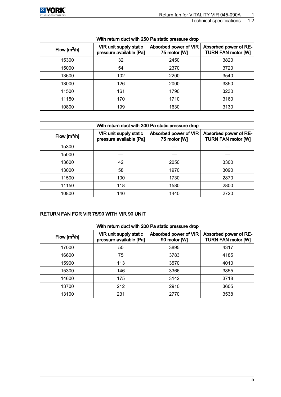

#### Technical specifications 1.2

| With return duct with 250 Pa static pressure drop |                                                   |                                       |                                                    |
|---------------------------------------------------|---------------------------------------------------|---------------------------------------|----------------------------------------------------|
| Flow $\lceil m^3/h \rceil$                        | VIR unit supply static<br>pressure available [Pa] | Absorbed power of VIR<br>75 motor [W] | Absorbed power of RE-<br><b>TURN FAN motor [W]</b> |
| 15300                                             | 32                                                | 2450                                  | 3820                                               |
| 15000                                             | 54                                                | 2370                                  | 3720                                               |
| 13600                                             | 102                                               | 2200                                  | 3540                                               |
| 13000                                             | 126                                               | 2000                                  | 3350                                               |
| 11500                                             | 161                                               | 1790                                  | 3230                                               |
| 11150                                             | 170                                               | 1710                                  | 3160                                               |
| 10800                                             | 199                                               | 1630                                  | 3130                                               |

| With return duct with 300 Pa static pressure drop |                                                   |                                       |                                                    |
|---------------------------------------------------|---------------------------------------------------|---------------------------------------|----------------------------------------------------|
| Flow $[m^3/h]$                                    | VIR unit supply static<br>pressure available [Pa] | Absorbed power of VIR<br>75 motor [W] | Absorbed power of RE-<br><b>TURN FAN motor [W]</b> |
| 15300                                             |                                                   |                                       |                                                    |
| 15000                                             |                                                   |                                       |                                                    |
| 13600                                             | 42                                                | 2050                                  | 3300                                               |
| 13000                                             | 58                                                | 1970                                  | 3090                                               |
| 11500                                             | 100                                               | 1730                                  | 2870                                               |
| 11150                                             | 118                                               | 1580                                  | 2800                                               |
| 10800                                             | 140                                               | 1440                                  | 2720                                               |

#### RETURN FAN FOR VIR 75/90 WITH VIR 90 UNIT

| With return duct with 200 Pa static pressure drop |                                                   |                                       |                                                    |
|---------------------------------------------------|---------------------------------------------------|---------------------------------------|----------------------------------------------------|
| Flow $\left[\frac{m^3}{h}\right]$                 | VIR unit supply static<br>pressure available [Pa] | Absorbed power of VIR<br>90 motor [W] | Absorbed power of RE-<br><b>TURN FAN motor [W]</b> |
| 17000                                             | 50                                                | 3895                                  | 4317                                               |
| 16600                                             | 75                                                | 3783                                  | 4185                                               |
| 15900                                             | 113                                               | 3570                                  | 4010                                               |
| 15300                                             | 146                                               | 3366                                  | 3855                                               |
| 14600                                             | 175                                               | 3142                                  | 3718                                               |
| 13700                                             | 212                                               | 2910                                  | 3605                                               |
| 13100                                             | 231                                               | 2770                                  | 3538                                               |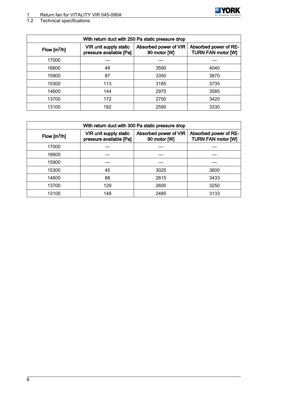#### 1 Return fan for VITALITY VIR 045-090A



#### 1.2 Technical specifications

| With return duct with 250 Pa static pressure drop |                                                   |                                       |                                                    |  |  |  |  |
|---------------------------------------------------|---------------------------------------------------|---------------------------------------|----------------------------------------------------|--|--|--|--|
| Flow $[m^3/h]$                                    | VIR unit supply static<br>pressure available [Pa] | Absorbed power of VIR<br>90 motor [W] | Absorbed power of RE-<br><b>TURN FAN motor [W]</b> |  |  |  |  |
| 17000                                             |                                                   |                                       |                                                    |  |  |  |  |
| 16600                                             | 48                                                | 3590                                  | 4040                                               |  |  |  |  |
| 15900                                             | 87                                                | 3350                                  | 3870                                               |  |  |  |  |
| 15300                                             | 113                                               | 3185                                  | 3735                                               |  |  |  |  |
| 14600                                             | 144                                               | 2970                                  | 3585                                               |  |  |  |  |
| 13700                                             | 172                                               | 2750                                  | 3420                                               |  |  |  |  |
| 13100                                             | 182                                               | 2590                                  | 3330                                               |  |  |  |  |

| With return duct with 300 Pa static pressure drop |                                                   |                                       |                                                    |  |  |  |  |  |
|---------------------------------------------------|---------------------------------------------------|---------------------------------------|----------------------------------------------------|--|--|--|--|--|
| Flow $[m^3/h]$                                    | VIR unit supply static<br>pressure available [Pa] | Absorbed power of VIR<br>90 motor [W] | Absorbed power of RE-<br><b>TURN FAN motor [W]</b> |  |  |  |  |  |
| 17000                                             |                                                   |                                       |                                                    |  |  |  |  |  |
| 16600                                             |                                                   |                                       |                                                    |  |  |  |  |  |
| 15900                                             |                                                   |                                       |                                                    |  |  |  |  |  |
| 15300                                             | 45                                                | 3025                                  | 3600                                               |  |  |  |  |  |
| 14600                                             | 88                                                | 2815                                  | 3433                                               |  |  |  |  |  |
| 13700                                             | 129                                               | 2600                                  | 3250                                               |  |  |  |  |  |
| 13100                                             | 148                                               | 2485                                  | 3133                                               |  |  |  |  |  |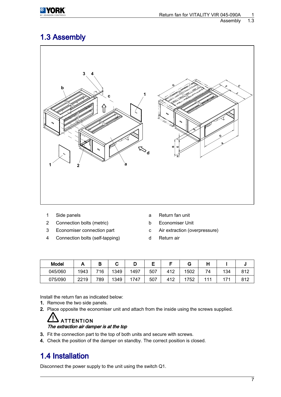<span id="page-8-0"></span>

### 1.3 Assembly



- 
- 2 Connection bolts (metric) b Economiser Unit
- 
- 4 Connection bolts (self-tapping) d Return air
- 1 Side panels a Return fan unit
	-
- 3 Economiser connection part c Air extraction (overpressure)
	-

| Model   |      |     | u    | ш    | -   | -   | G    |    |     |     |
|---------|------|-----|------|------|-----|-----|------|----|-----|-----|
| 045/060 | 1943 | 716 | 1349 | 1497 | 507 | 412 | 1502 | 74 | 134 | 812 |
| 075/090 | 2219 | 789 | 1349 | 747  | 507 | 412 | 1752 |    | 74  | 812 |

Install the return fan as indicated below:

- 1. Remove the two side panels.
- 2. Place opposite the economiser unit and attach from the inside using the screws supplied.

#### **ATTENTION** The extraction air damper is at the top

- 3. Fit the connection part to the top of both units and secure with screws.
- 4. Check the position of the damper on standby. The correct position is closed.

## 1.4 Installation

Disconnect the power supply to the unit using the switch Q1.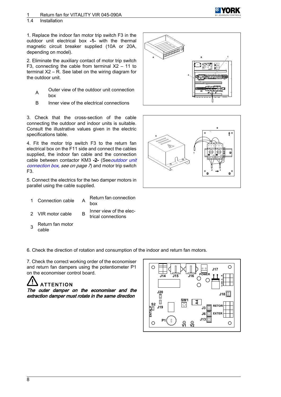#### 1.4 Installation

1. Replace the indoor fan motor trip switch F3 in the outdoor unit electrical box -1- with the thermal magnetic circuit breaker supplied (10A or 20A, depending on model).

2. Eliminate the auxiliary contact of motor trip switch F3, connecting the cable from terminal  $X2 - 11$  to terminal X2 – R. See label on the wiring diagram for the outdoor unit.

- A Outer view of the outdoor unit connection box
- B Inner view of the electrical connections

3. Check that the cross-section of the cable connecting the outdoor and indoor units is suitable. Consult the illustrative values given in the electric specifications table.

4. Fit the motor trip switch F3 to the return fan electrical box on the F11 side and connect the cables supplied, the indoor fan cable and the connection cable between contactor KM3 -2- (See [outdoor unit](#page-8-0) [connection box](#page-8-0), see on page  $\bar{z}$  and motor trip switch F3.

5. Connect the electrics for the two damper motors in parallel using the cable supplied.

- 1 Connection cable A
- Return fan connection box

Inner view of the elec‐ trical connections

2 VIR motor cable B

3

Return fan motor cable





6. Check the direction of rotation and consumption of the indoor and return fan motors.

7. Check the correct working order of the economiser and return fan dampers using the potentiometer P1 on the economiser control board.

# **ATTENTION**

The outer damper on the economiser and the extraction damper must rotate in the same direction

![](_page_9_Figure_19.jpeg)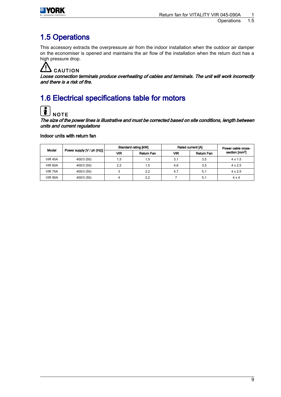<span id="page-10-0"></span>![](_page_10_Picture_0.jpeg)

## 1.5 Operations

This accessory extracts the overpressure air from the indoor installation when the outdoor air damper on the economiser is opened and maintains the air flow of the installation when the return duct has a high pressure drop.

# CAUTION

Loose connection terminals produce overheating of cables and terminals. The unit will work incorrectly and there is a risk of fire.

# 1.6 Electrical specifications table for motors

![](_page_10_Picture_7.jpeg)

**NOTE** The size of the power lines is illustrative and must be corrected based on site conditions, length between units and current regulations

Indoor units with return fan

| Model          |                            | Standard rating [kW] |            | Rated current [A] | Power cable cross- |                            |
|----------------|----------------------------|----------------------|------------|-------------------|--------------------|----------------------------|
|                | Power supply [V / ph (Hz)] | <b>VIR</b>           | Return Fan | VIR               | <b>Return Fan</b>  | section [mm <sup>2</sup> ] |
| <b>VIR 45A</b> | 400/3 (50)                 | 1,5                  | 1,5        | 3,1               | 3,5                | $4 \times 1.5$             |
| <b>VIR 60A</b> | 400/3 (50)                 | 2,2                  | 1,5        | 4.6               | 3,5                | $4 \times 2.5$             |
| <b>VIR 75A</b> | 400/3 (50)                 |                      | 2,2        | 4.7               | 5.1                | $4 \times 2.5$             |
| <b>VIR 90A</b> | 400/3 (50)                 |                      | 2.2        |                   | 5,1                | $4 \times 4$               |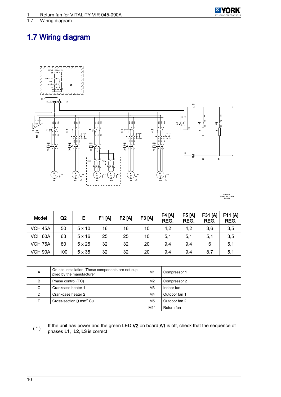<span id="page-11-0"></span>Wiring diagram

# 1.7 Wiring diagram

![](_page_11_Figure_4.jpeg)

**I-2632-1a VCH-45, 60, 75, 90A 400.3.50**

| <b>Model</b>        | Q <sub>2</sub> | Е             | F1 [A] | <b>F2[A]</b> | F3 [A] | <b>F4 [A]</b><br>REG. | <b>F5 [A]</b><br>REG. | <b>F31 [A]</b><br>REG. | F11[A]<br>REG. |
|---------------------|----------------|---------------|--------|--------------|--------|-----------------------|-----------------------|------------------------|----------------|
| VCH <sub>45</sub> A | 50             | $5 \times 10$ | 16     | 16           | 10     | 4,2                   | 4,2                   | 3,6                    | 3,5            |
| VCH 60A             | 63             | 5x16          | 25     | 25           | 10     | 5,1                   | 5,1                   | 5,1                    | 3,5            |
| VCH <sub>75</sub> A | 80             | $5 \times 25$ | 32     | 32           | 20     | 9,4                   | 9,4                   | 6                      | 5,1            |
| VCH 90A             | 100            | $5 \times 35$ | 32     | 32           | 20     | 9,4                   | 9,4                   | 8,7                    | 5,1            |

| Α | On-site installation. These components are not sup-<br>plied by the manufacturer | M1             | Compressor 1  |
|---|----------------------------------------------------------------------------------|----------------|---------------|
| B | Phase control (FC)                                                               | M <sub>2</sub> | Compressor 2  |
| C | Crankcase heater 1                                                               | M3             | Indoor fan    |
| D | Crankcase heater 2                                                               | M4             | Outdoor fan 1 |
| Е | Cross-section $B$ mm <sup>2</sup> Cu                                             | M <sub>5</sub> | Outdoor fan 2 |
|   |                                                                                  | M11            | Return fan    |

(\*) If the unit has power and the green LED V2 on board A1 is off, check that the sequence of phases  $11 \cdot 12 \cdot 13$  is correct phases L1, L2, L3 is correct